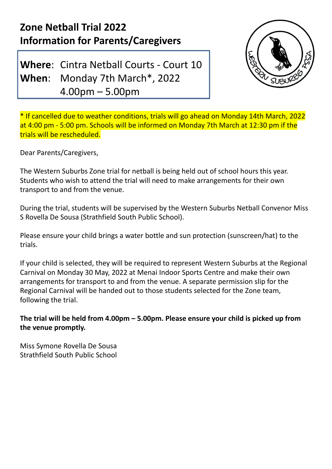## **Zone Netball Trial 2022 Information for Parents/Caregivers**

**Where**: Cintra Netball Courts - Court 10 **When**: Monday 7th March\* , 2022 4.00pm – 5.00pm



\* If cancelled due to weather conditions, trials will go ahead on Monday 14th March, 2022 at 4:00 pm - 5:00 pm. Schools will be informed on Monday 7th March at 12:30 pm if the trials will be rescheduled.

Dear Parents/Caregivers,

The Western Suburbs Zone trial for netball is being held out of school hours this year. Students who wish to attend the trial will need to make arrangements for their own transport to and from the venue.

During the trial, students will be supervised by the Western Suburbs Netball Convenor Miss S Rovella De Sousa (Strathfield South Public School).

Please ensure your child brings a water bottle and sun protection (sunscreen/hat) to the trials.

If your child is selected, they will be required to represent Western Suburbs at the Regional Carnival on Monday 30 May, 2022 at Menai Indoor Sports Centre and make their own arrangements for transport to and from the venue. A separate permission slip for the Regional Carnival will be handed out to those students selected for the Zone team, following the trial.

**The trial will be held from 4.00pm – 5.00pm. Please ensure your child is picked up from the venue promptly.**

Miss Symone Rovella De Sousa Strathfield South Public School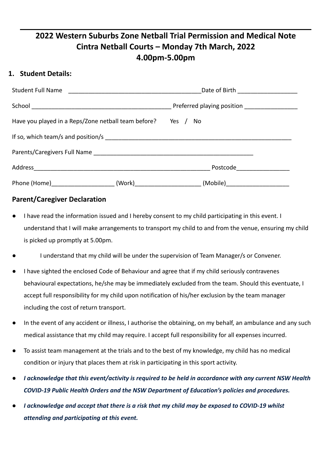### **2022 Western Suburbs Zone Netball Trial Permission and Medical Note Cintra Netball Courts – Monday 7th March, 2022 4.00pm-5.00pm**

#### **1. Student Details:**

| Student Full Name                                            | Date of Birth _______________________      |
|--------------------------------------------------------------|--------------------------------------------|
|                                                              | Preferred playing position _______________ |
| Have you played in a Reps/Zone netball team before? Yes / No |                                            |
|                                                              |                                            |
|                                                              |                                            |
|                                                              | Postcode _____________                     |
| Phone (Home)_____________________                            | (Mobile) ________________                  |

#### **Parent/Caregiver Declaration**

- I have read the information issued and I hereby consent to my child participating in this event. I understand that I will make arrangements to transport my child to and from the venue, ensuring my child is picked up promptly at 5.00pm.
- I understand that my child will be under the supervision of Team Manager/s or Convener.
- I have sighted the enclosed Code of Behaviour and agree that if my child seriously contravenes behavioural expectations, he/she may be immediately excluded from the team. Should this eventuate, I accept full responsibility for my child upon notification of his/her exclusion by the team manager including the cost of return transport.
- In the event of any accident or illness, I authorise the obtaining, on my behalf, an ambulance and any such medical assistance that my child may require. I accept full responsibility for all expenses incurred.
- To assist team management at the trials and to the best of my knowledge, my child has no medical condition or injury that places them at risk in participating in this sport activity.
- *I acknowledge that this event/activity is required to be held in accordance with any current NSW Health COVID-19 Public Health Orders and the NSW Department of Education's policies and procedures.*
- *I acknowledge and accept that there is a risk that my child may be exposed to COVID-19 whilst attending and participating at this event.*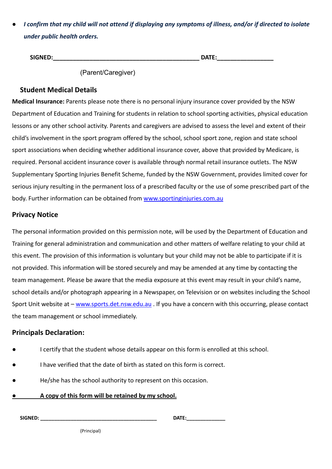*I confirm that my child will not attend if displaying any symptoms of illness, and/or if directed to isolate under public health orders.*

| <b>SIGNED:</b> | <b>DATF</b><br><i>U</i> AIL. |
|----------------|------------------------------|
|                |                              |

(Parent/Caregiver)

#### **Student Medical Details**

**Medical Insurance:** Parents please note there is no personal injury insurance cover provided by the NSW Department of Education and Training for students in relation to school sporting activities, physical education lessons or any other school activity. Parents and caregivers are advised to assess the level and extent of their child's involvement in the sport program offered by the school, school sport zone, region and state school sport associations when deciding whether additional insurance cover, above that provided by Medicare, is required. Personal accident insurance cover is available through normal retail insurance outlets. The NSW Supplementary Sporting Injuries Benefit Scheme, funded by the NSW Government, provides limited cover for serious injury resulting in the permanent loss of a prescribed faculty or the use of some prescribed part of the body. Further information can be obtained from [www.sportinginjuries.com.au](http://www.sportinginjuries.com.au/)

#### **Privacy Notice**

The personal information provided on this permission note, will be used by the Department of Education and Training for general administration and communication and other matters of welfare relating to your child at this event. The provision of this information is voluntary but your child may not be able to participate if it is not provided. This information will be stored securely and may be amended at any time by contacting the team management. Please be aware that the media exposure at this event may result in your child's name, school details and/or photograph appearing in a Newspaper, on Television or on websites including the School Sport Unit website at – [www.sports.det.nsw.edu.au](http://www.sports.det.nsw.edu.au/) . If you have a concern with this occurring, please contact the team management or school immediately.

#### **Principals Declaration:**

- I certify that the student whose details appear on this form is enrolled at this school.
- I have verified that the date of birth as stated on this form is correct.
- He/she has the school authority to represent on this occasion.
- **● A copy of this form will be retained by my school.**

**SIGNED: \_\_\_\_\_\_\_\_\_\_\_\_\_\_\_\_\_\_\_\_\_\_\_\_\_\_\_\_\_\_\_\_\_\_\_\_\_\_\_\_\_\_ DATE:\_\_\_\_\_\_\_\_\_\_\_\_\_\_**

(Principal)